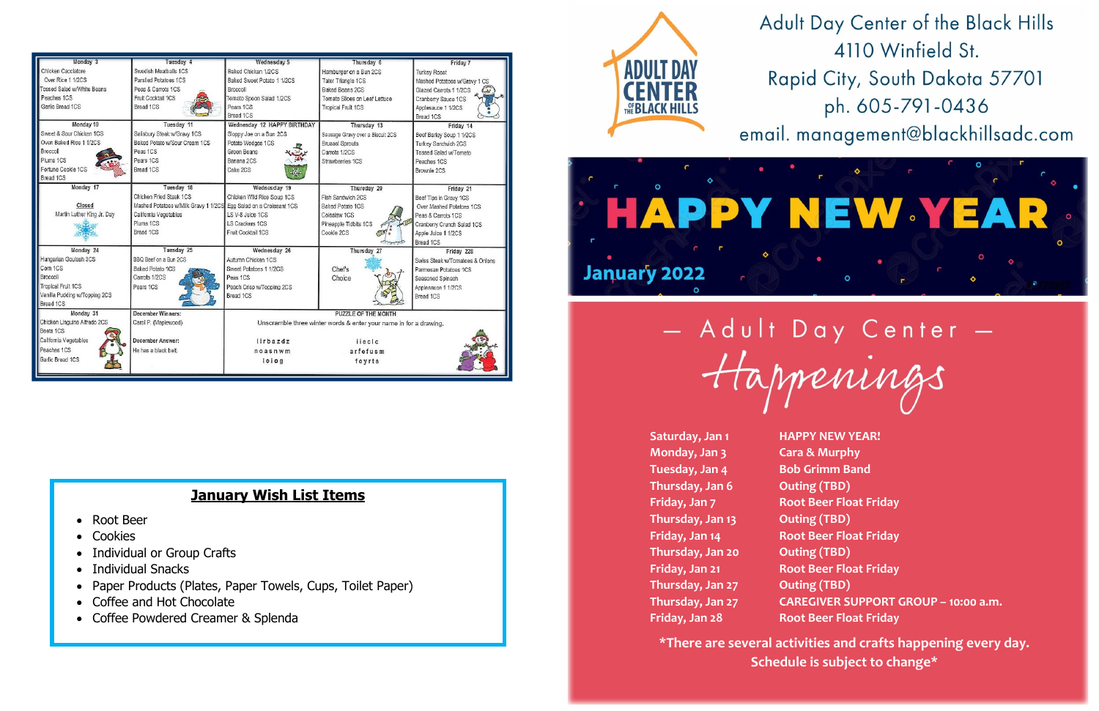Saturday, Jan 1 **HAPPY NEW YEAR! Monday, Jan 3 Cara & Murphy Tuesday, Jan 4 Bob Grimm Band** Thursday, Jan 6 **Outing (TBD) Thursday, Jan 13 Outing (TBD) Thursday, Jan 20 Outing (TBD) Thursday, Jan 27 Outing (TBD)**

**Friday, Jan 7 Root Beer Float Friday Friday, Jan 14 Root Beer Float Friday Friday, Jan 21 Root Beer Float Friday Thursday, Jan 27 CAREGIVER SUPPORT GROUP – 10:00 a.m. Friday, Jan 28 Root Beer Float Friday** 

**\*There are several activities and crafts happening every day. Schedule is subject to change\***

Adult Day Center of the Black Hills 4110 Winfield St. Rapid City, South Dakota 57701 ph. 605-791-0436

email. management@blackhillsadc.com





| Monday 3                      | Tuesday 4                                                         | Wednesday 5                                                       | Thursday 6                       | Friday 7                        |
|-------------------------------|-------------------------------------------------------------------|-------------------------------------------------------------------|----------------------------------|---------------------------------|
| Chicken Cacciatore            | Swedish Meatballs 1CS                                             | Baked Chicken 1/2CS                                               | Hamburger on a Bun 2CS           | <b>Turkey Roast</b>             |
| Over Rice 1 1/2CS             | Parslied Potatoes 1CS                                             | Baked Sweet Potato 1 1/2CS                                        | Tater Triangle 1CS               | Mashed Potatoes w/Gravy 1 CS    |
| Tossed Salad w/White Beans    | Peas & Carrots 1CS                                                | Broccoli                                                          | <b>Baked Beans 2CS</b>           | Glazed Carrots 1 1/2CS          |
| Peaches 1CS                   | Fruit Cocktail 1CS                                                | Tomato Spoon Salad 1/2CS                                          | Tomato Slices on Leaf Lettuce    | Cranberry Sauce 1CS             |
| Garlic Bread 1CS              | Bread 1CS                                                         | Pears 1CS                                                         | <b>Tropical Fruit 1CS</b>        | Applesauce 1 1/2CS              |
|                               |                                                                   | Bread 1CS                                                         |                                  | Bread 1CS                       |
| Monday 10                     | Tuesday 11                                                        | Wednesday 12 HAPPY BIRTHDAY                                       | Thursday 13                      | Friday 14                       |
| Sweet & Sour Chicken 1CS      | Salisbury Steak w/Gravy 1CS                                       | Sloppy Joe on a Bun 2CS                                           | Sausage Gravy over a Biscuit 2CS | Beef Barley Soup 1 1/2CS        |
| Oven Baked Rice 1 1/2CS       | Baked Potato w/Sour Cream 1CS                                     | Potato Wedges 1CS                                                 | <b>Brussel Sprouts</b>           | Turkey Sandwich 2CS             |
| Broccoli                      | Peas 1CS                                                          | Green Beans                                                       | Carrots 1/2CS                    | Tossed Salad w/Tomato           |
| Plums 1CS                     | Pears 1CS                                                         | Banana 2CS                                                        | Strawberries 1CS                 | Peaches 1CS                     |
| Fortune Cookie 1CS            | Bread 1CS                                                         | Cake 2CS                                                          |                                  | Brownie 2CS                     |
| Bread 1CS                     |                                                                   |                                                                   |                                  |                                 |
| Monday 17                     | Tuesday 18                                                        | Wednesday 19                                                      | Thursday 20                      | Friday 21                       |
|                               | Chicken Fried Steak 1CS                                           | Chicken Wild Rice Soup 1CS                                        | Fish Sandwich 2CS                | Beef Tips in Gravy 1CS          |
| Closed                        | Mashed Potatoes w/Milk Gravy 1 1/2CS Egg Salad on a Croissant 1CS |                                                                   | Baked Potato 1CS                 | Over Mashed Potatoes 1CS        |
| Martin Luther King Jr. Day    | California Vegetables                                             | LS V-8 Juice 1CS                                                  | Coleslaw 1CS                     | Peas & Carrots 1CS              |
|                               | Plums 1CS                                                         | <b>LS Crackers 1CS</b>                                            | Pineapple Tidbits 1CS            | Cranberry Crunch Salad 1CS      |
|                               | Bread 1CS                                                         | Fruit Cocktail 1CS                                                | Cookie 2CS                       | Apple Juice 1 1/2CS             |
|                               |                                                                   |                                                                   |                                  | Bread 1CS                       |
| Monday 24                     | Tuesday 25                                                        | Wednesday 26                                                      | Thursday 27                      | Friday 228                      |
| Hungarian Goulash 3CS         | BBQ Beef on a Bun 2CS                                             | Autumn Chicken 1CS                                                |                                  | Swiss Steak w/Tomatoes & Onions |
| Corn 1CS                      | Baked Potato 1CS                                                  | Sweet Potatoes 1 1/2CS                                            | Chef's                           | Parmesan Potatoes 1CS           |
| Broccoli                      | Carrots 1/2CS                                                     | Peas 1CS                                                          | Choice                           | Seasoned Spinach                |
| <b>Tropical Fruit 1CS</b>     | Pears 1CS                                                         | Peach Crisp w/Topping 2CS                                         |                                  | Applesauce 1 1/2CS              |
| Vanilla Pudding w/Topping 2CS |                                                                   | Bread 1CS                                                         |                                  | Bread 1CS                       |
| Bread 1CS                     |                                                                   |                                                                   |                                  |                                 |
| Monday 31                     | December Winners:                                                 | PUZZLE OF THE MONTH                                               |                                  |                                 |
| Chicken Linguine Alfredo 2CS  | Carol P. (Maplewood)                                              | Unscramble three winter words & enter your name in for a drawing. |                                  |                                 |
| Beets 1CS                     |                                                                   |                                                                   |                                  |                                 |
| California Vegetables         | December Answer:                                                  | lirbazdz                                                          | ijecic                           |                                 |
| Peaches 1CS                   | He has a black belt.                                              | noasnwm                                                           | arfefusm                         |                                 |
| Garlic Bread 1CS              |                                                                   | loiog                                                             | foyrts                           |                                 |
|                               |                                                                   |                                                                   |                                  |                                 |

## **January Wish List Items**

- Root Beer
- Cookies
- Individual or Group Crafts
- Individual Snacks
- Paper Products (Plates, Paper Towels, Cups, Toilet Paper)
- Coffee and Hot Chocolate
- Coffee Powdered Creamer & Splenda



January 2022

- Adult Day Center -